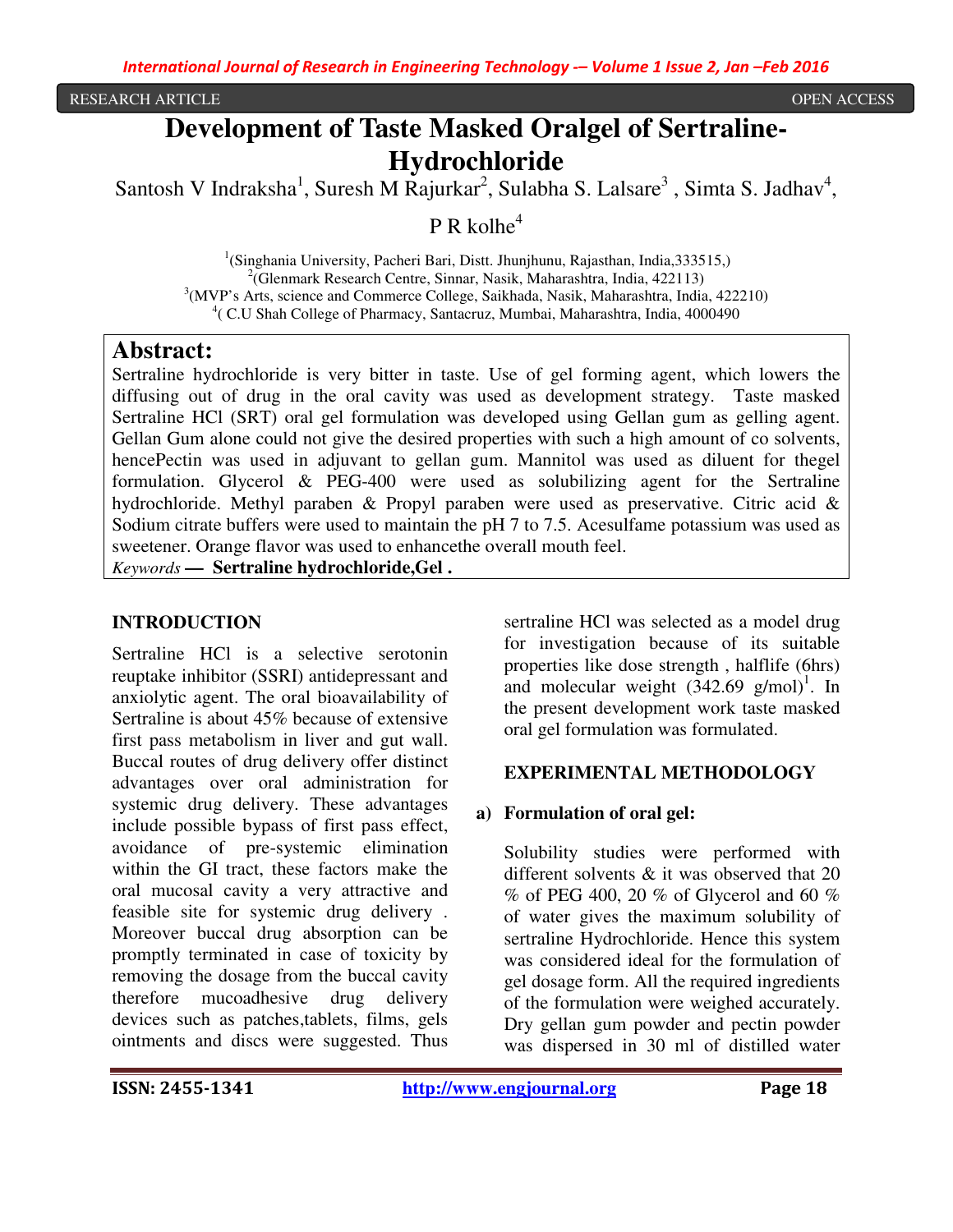#### RESEARCH ARTICLE OPEN ACCESS

# **Development of Taste Masked Oralgel of Sertraline-Hydrochloride**

Santosh V Indraksha<sup>1</sup>, Suresh M Rajurkar<sup>2</sup>, Sulabha S. Lalsare<sup>3</sup>, Simta S. Jadhav<sup>4</sup>,

 $P R$  kolhe<sup>4</sup>

<sup>1</sup>(Singhania University, Pacheri Bari, Distt. Jhunjhunu, Rajasthan, India,333515,) 2 (Glenmark Research Centre, Sinnar, Nasik, Maharashtra, India, 422113) <sup>3</sup>(MVP's Arts, science and Commerce College, Saikhada, Nasik, Maharashtra, India, 422210) 4 ( C.U Shah College of Pharmacy, Santacruz, Mumbai, Maharashtra, India, 4000490

#### **Abstract:**

Sertraline hydrochloride is very bitter in taste. Use of gel forming agent, which lowers the diffusing out of drug in the oral cavity was used as development strategy. Taste masked Sertraline HCl (SRT) oral gel formulation was developed using Gellan gum as gelling agent. Gellan Gum alone could not give the desired properties with such a high amount of co solvents, hencePectin was used in adjuvant to gellan gum. Mannitol was used as diluent for thegel formulation. Glycerol & PEG-400 were used as solubilizing agent for the Sertraline hydrochloride. Methyl paraben & Propyl paraben were used as preservative. Citric acid & Sodium citrate buffers were used to maintain the pH 7 to 7.5. Acesulfame potassium was used as sweetener. Orange flavor was used to enhancethe overall mouth feel.

*Keywords* **— Sertraline hydrochloride,Gel .** 

#### **INTRODUCTION**

Sertraline HCl is a selective serotonin reuptake inhibitor (SSRI) antidepressant and anxiolytic agent. The oral bioavailability of Sertraline is about 45% because of extensive first pass metabolism in liver and gut wall. Buccal routes of drug delivery offer distinct advantages over oral administration for systemic drug delivery. These advantages include possible bypass of first pass effect, avoidance of pre-systemic elimination within the GI tract, these factors make the oral mucosal cavity a very attractive and feasible site for systemic drug delivery . Moreover buccal drug absorption can be promptly terminated in case of toxicity by removing the dosage from the buccal cavity therefore mucoadhesive drug delivery devices such as patches,tablets, films, gels ointments and discs were suggested. Thus

sertraline HCl was selected as a model drug for investigation because of its suitable properties like dose strength , halflife (6hrs) and molecular weight  $(342.69 \text{ g/mol})^1$ . In the present development work taste masked oral gel formulation was formulated.

#### **EXPERIMENTAL METHODOLOGY**

#### **a) Formulation of oral gel:**

Solubility studies were performed with different solvents & it was observed that 20  $\%$  of PEG 400, 20  $\%$  of Glycerol and 60  $\%$ of water gives the maximum solubility of sertraline Hydrochloride. Hence this system was considered ideal for the formulation of gel dosage form. All the required ingredients of the formulation were weighed accurately. Dry gellan gum powder and pectin powder was dispersed in 30 ml of distilled water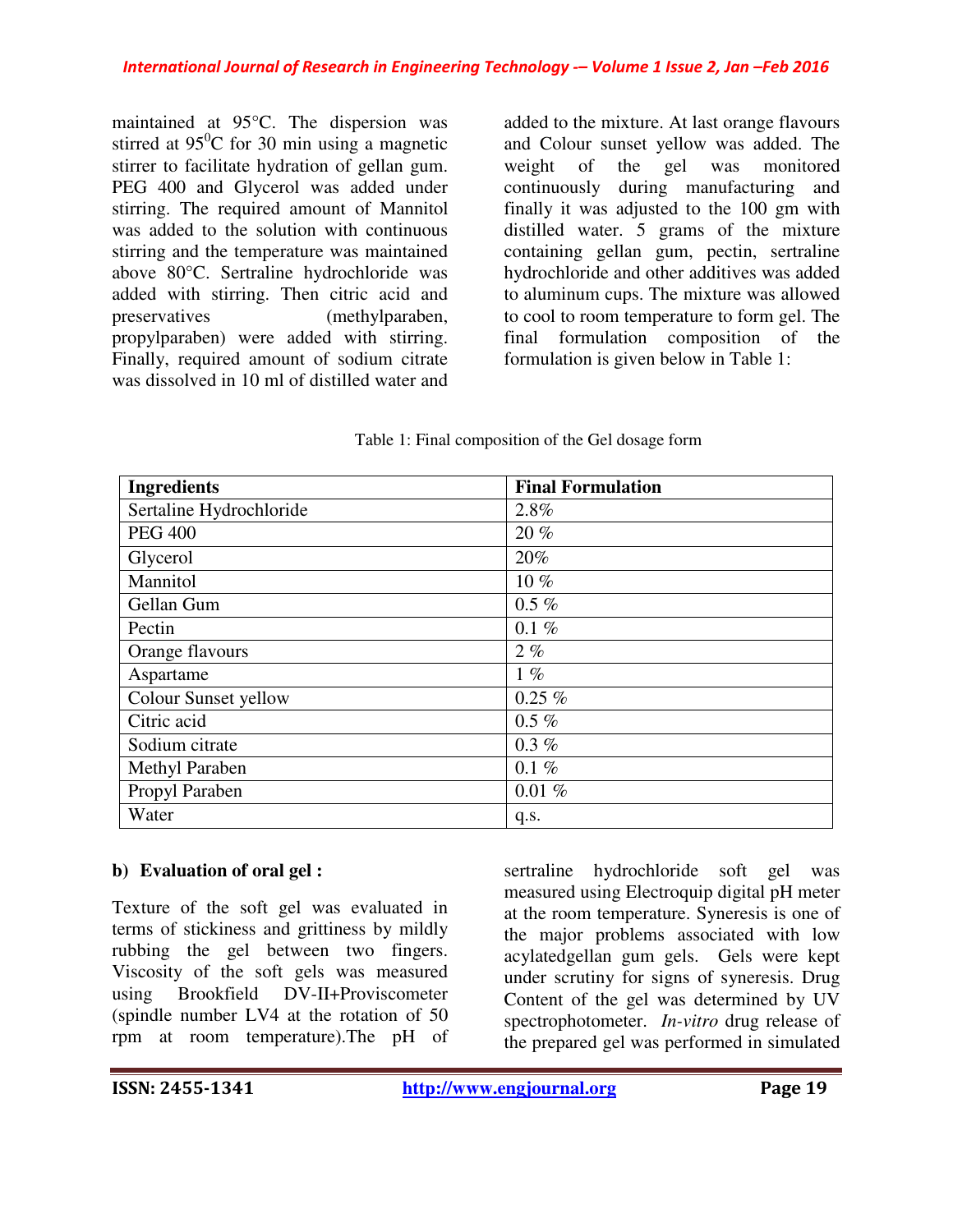maintained at 95°C. The dispersion was stirred at  $95^{\circ}$ C for 30 min using a magnetic stirrer to facilitate hydration of gellan gum. PEG 400 and Glycerol was added under stirring. The required amount of Mannitol was added to the solution with continuous stirring and the temperature was maintained above 80°C. Sertraline hydrochloride was added with stirring. Then citric acid and preservatives (methylparaben, propylparaben) were added with stirring. Finally, required amount of sodium citrate was dissolved in 10 ml of distilled water and

added to the mixture. At last orange flavours and Colour sunset yellow was added. The weight of the gel was monitored continuously during manufacturing and finally it was adjusted to the 100 gm with distilled water. 5 grams of the mixture containing gellan gum, pectin, sertraline hydrochloride and other additives was added to aluminum cups. The mixture was allowed to cool to room temperature to form gel. The final formulation composition of the formulation is given below in Table 1:

| <b>Ingredients</b>      | <b>Final Formulation</b> |
|-------------------------|--------------------------|
| Sertaline Hydrochloride | 2.8%                     |
| <b>PEG 400</b>          | 20%                      |
| Glycerol                | 20%                      |
| Mannitol                | $10\%$                   |
| Gellan Gum              | $0.5 \%$                 |
| Pectin                  | $0.1 \%$                 |
| Orange flavours         | $2\%$                    |
| Aspartame               | $1\%$                    |
| Colour Sunset yellow    | $0.25\%$                 |
| Citric acid             | $0.5 \%$                 |
| Sodium citrate          | $0.3\%$                  |
| <b>Methyl Paraben</b>   | $0.1 \%$                 |
| Propyl Paraben          | $0.01\%$                 |
| Water                   | q.s.                     |

### **b) Evaluation of oral gel :**

Texture of the soft gel was evaluated in terms of stickiness and grittiness by mildly rubbing the gel between two fingers. Viscosity of the soft gels was measured using Brookfield DV-II+Proviscometer (spindle number LV4 at the rotation of 50 rpm at room temperature).The pH of

sertraline hydrochloride soft gel was measured using Electroquip digital pH meter at the room temperature. Syneresis is one of the major problems associated with low acylatedgellan gum gels. Gels were kept under scrutiny for signs of syneresis. Drug Content of the gel was determined by UV spectrophotometer. *In-vitro* drug release of the prepared gel was performed in simulated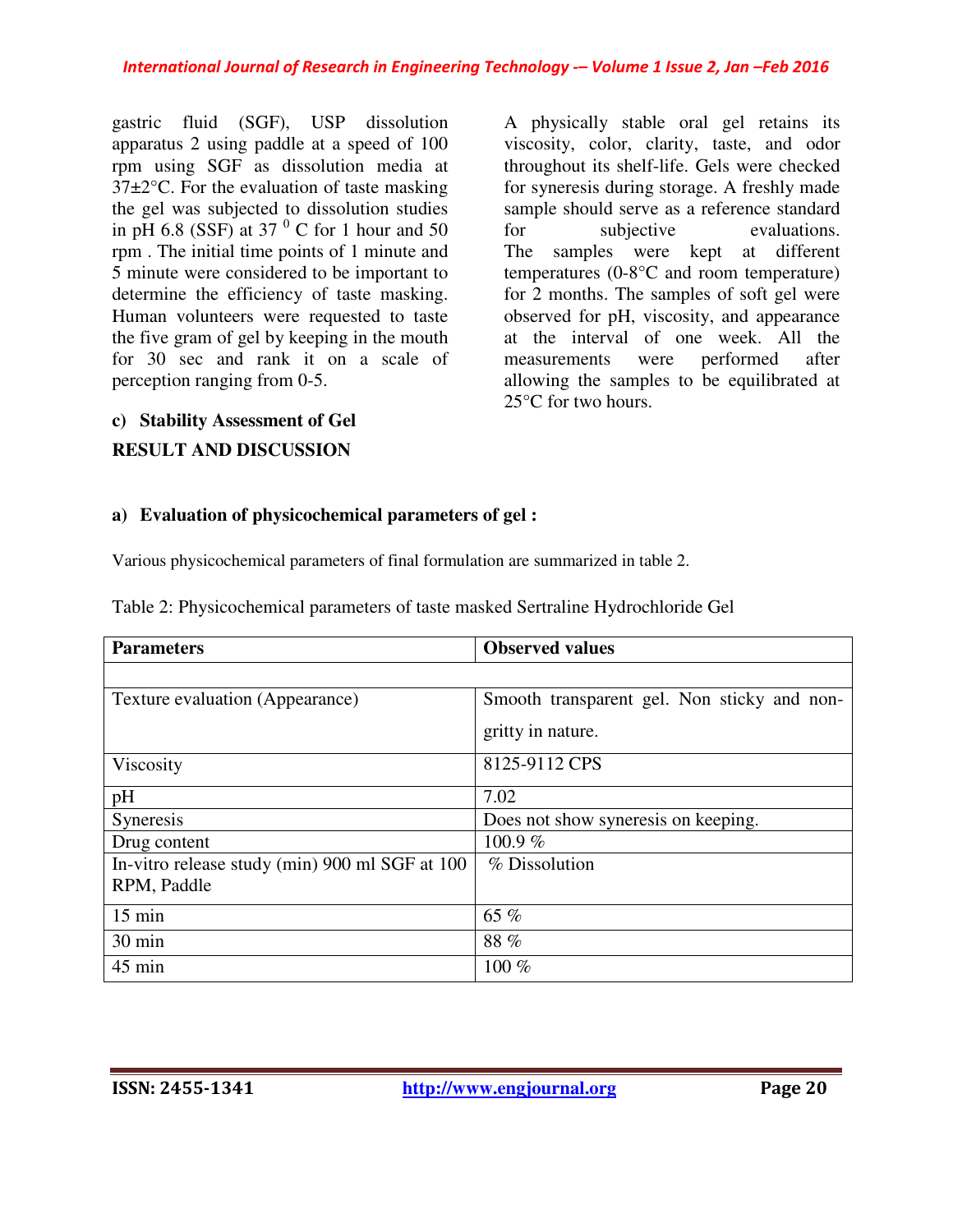gastric fluid (SGF), USP dissolution apparatus 2 using paddle at a speed of 100 rpm using SGF as dissolution media at 37±2°C. For the evaluation of taste masking the gel was subjected to dissolution studies in pH 6.8 (SSF) at 37 $<sup>0</sup>$  C for 1 hour and 50</sup> rpm . The initial time points of 1 minute and 5 minute were considered to be important to determine the efficiency of taste masking. Human volunteers were requested to taste the five gram of gel by keeping in the mouth for 30 sec and rank it on a scale of perception ranging from 0-5.

A physically stable oral gel retains its viscosity, color, clarity, taste, and odor throughout its shelf-life. Gels were checked for syneresis during storage. A freshly made sample should serve as a reference standard for subjective evaluations. The samples were kept at different temperatures (0-8°C and room temperature) for 2 months. The samples of soft gel were observed for pH, viscosity, and appearance at the interval of one week. All the measurements were performed after allowing the samples to be equilibrated at 25°C for two hours.

#### **c) Stability Assessment of Gel**

## **RESULT AND DISCUSSION**

### **a) Evaluation of physicochemical parameters of gel :**

Various physicochemical parameters of final formulation are summarized in table 2.

|  |  | Table 2: Physicochemical parameters of taste masked Sertraline Hydrochloride Gel |
|--|--|----------------------------------------------------------------------------------|
|--|--|----------------------------------------------------------------------------------|

| <b>Parameters</b>                              | <b>Observed values</b>                      |  |  |
|------------------------------------------------|---------------------------------------------|--|--|
|                                                |                                             |  |  |
| Texture evaluation (Appearance)                | Smooth transparent gel. Non sticky and non- |  |  |
|                                                | gritty in nature.                           |  |  |
| Viscosity                                      | 8125-9112 CPS                               |  |  |
| pH                                             | 7.02                                        |  |  |
| Syneresis                                      | Does not show syneresis on keeping.         |  |  |
| Drug content                                   | 100.9%                                      |  |  |
| In-vitro release study (min) 900 ml SGF at 100 | % Dissolution                               |  |  |
| RPM, Paddle                                    |                                             |  |  |
| $15 \text{ min}$                               | 65 %                                        |  |  |
| 30 min                                         | 88 %                                        |  |  |
| 45 min                                         | 100 %                                       |  |  |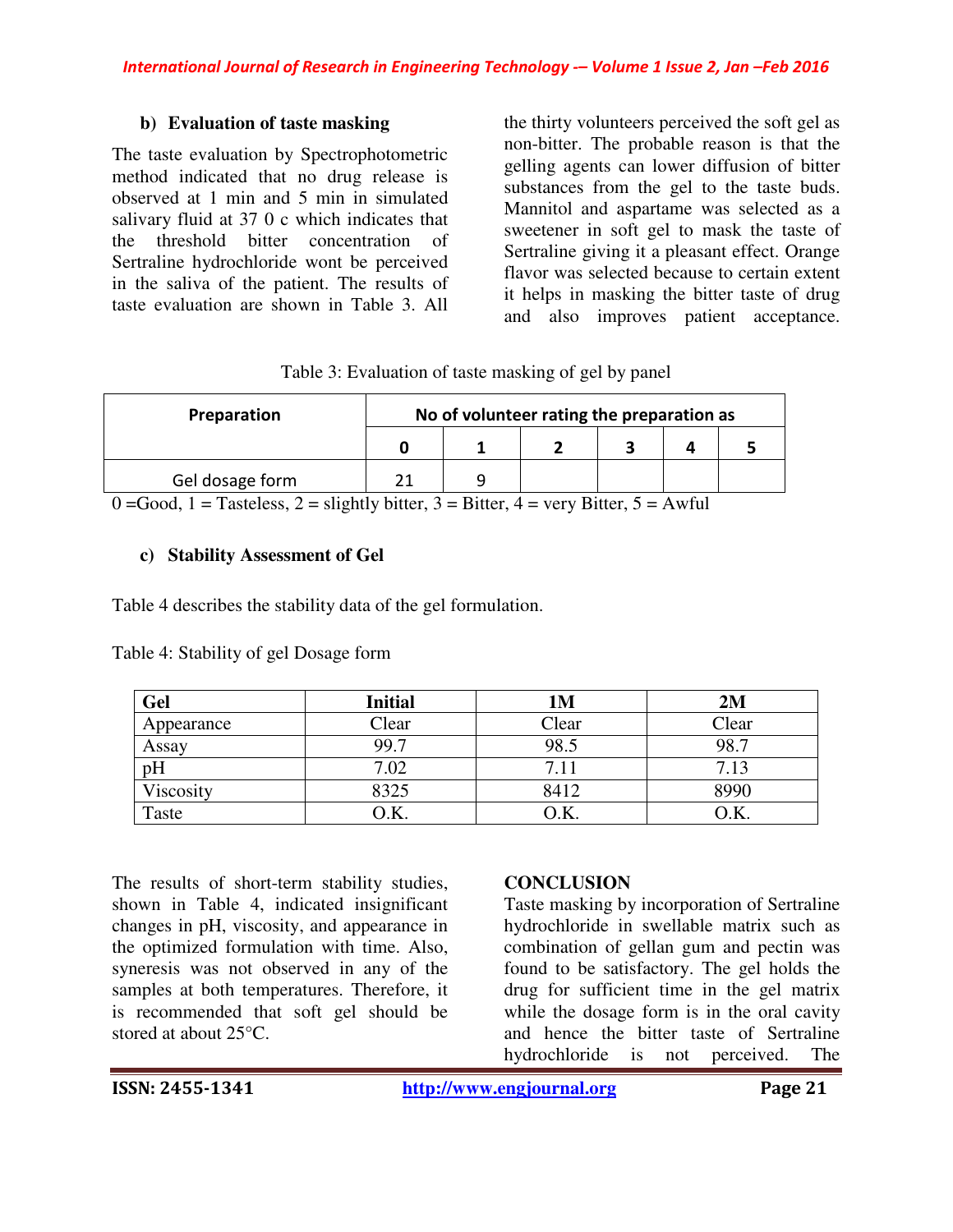#### **b) Evaluation of taste masking**

The taste evaluation by Spectrophotometric method indicated that no drug release is observed at 1 min and 5 min in simulated salivary fluid at 37 0 c which indicates that the threshold bitter concentration of Sertraline hydrochloride wont be perceived in the saliva of the patient. The results of taste evaluation are shown in Table 3. All

the thirty volunteers perceived the soft gel as non-bitter. The probable reason is that the gelling agents can lower diffusion of bitter substances from the gel to the taste buds. Mannitol and aspartame was selected as a sweetener in soft gel to mask the taste of Sertraline giving it a pleasant effect. Orange flavor was selected because to certain extent it helps in masking the bitter taste of drug and also improves patient acceptance.

| Table 3: Evaluation of taste masking of gel by panel |  |  |  |
|------------------------------------------------------|--|--|--|
|------------------------------------------------------|--|--|--|

| Preparation     | No of volunteer rating the preparation as |  |  |  |  |
|-----------------|-------------------------------------------|--|--|--|--|
|                 |                                           |  |  |  |  |
| Gel dosage form |                                           |  |  |  |  |

 $0 = Good$ ,  $1 = T$  asteless,  $2 =$  slightly bitter,  $3 =$  Bitter,  $4 =$  very Bitter,  $5 =$  Awful

#### **c) Stability Assessment of Gel**

Table 4 describes the stability data of the gel formulation.

| Gel        | <b>Initial</b>    | <b>1M</b> | 2M    |
|------------|-------------------|-----------|-------|
| Appearance | Clear             | Clear     | Clear |
| Assay      | 99.7              | 98.5      | 98.7  |
| pH         | 7.02              |           | 7.13  |
| Viscosity  | 8325              | 8412      | 3990  |
| Taste      | $\mathcal{D}$ .K. | Э.K.      | ۰Ń.   |

Table 4: Stability of gel Dosage form

The results of short-term stability studies, shown in Table 4, indicated insignificant changes in pH, viscosity, and appearance in the optimized formulation with time. Also, syneresis was not observed in any of the samples at both temperatures. Therefore, it is recommended that soft gel should be stored at about 25°C.

#### **CONCLUSION**

Taste masking by incorporation of Sertraline hydrochloride in swellable matrix such as combination of gellan gum and pectin was found to be satisfactory. The gel holds the drug for sufficient time in the gel matrix while the dosage form is in the oral cavity and hence the bitter taste of Sertraline hydrochloride is not perceived. The